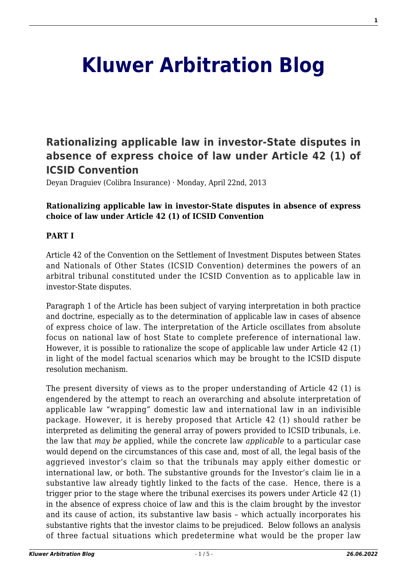# **[Kluwer Arbitration Blog](http://arbitrationblog.kluwerarbitration.com/)**

## **[Rationalizing applicable law in investor-State disputes in](http://arbitrationblog.kluwerarbitration.com/2013/04/22/rationalizing-applicable-law-in-investor-state-disputes-in-absence-of-express-choice-of-law-under-article-42-1-of-icsid-convention/) [absence of express choice of law under Article 42 \(1\) of](http://arbitrationblog.kluwerarbitration.com/2013/04/22/rationalizing-applicable-law-in-investor-state-disputes-in-absence-of-express-choice-of-law-under-article-42-1-of-icsid-convention/) [ICSID Convention](http://arbitrationblog.kluwerarbitration.com/2013/04/22/rationalizing-applicable-law-in-investor-state-disputes-in-absence-of-express-choice-of-law-under-article-42-1-of-icsid-convention/)**

Deyan Draguiev (Colibra Insurance) · Monday, April 22nd, 2013

#### **Rationalizing applicable law in investor-State disputes in absence of express choice of law under Article 42 (1) of ICSID Convention**

#### **PART I**

Article 42 of the Convention on the Settlement of Investment Disputes between States and Nationals of Other States (ICSID Convention) determines the powers of an arbitral tribunal constituted under the ICSID Convention as to applicable law in investor-State disputes.

Paragraph 1 of the Article has been subject of varying interpretation in both practice and doctrine, especially as to the determination of applicable law in cases of absence of express choice of law. The interpretation of the Article oscillates from absolute focus on national law of host State to complete preference of international law. However, it is possible to rationalize the scope of applicable law under Article 42 (1) in light of the model factual scenarios which may be brought to the ICSID dispute resolution mechanism.

The present diversity of views as to the proper understanding of Article 42 (1) is engendered by the attempt to reach an overarching and absolute interpretation of applicable law "wrapping" domestic law and international law in an indivisible package. However, it is hereby proposed that Article 42 (1) should rather be interpreted as delimiting the general array of powers provided to ICSID tribunals, i.e. the law that *may be* applied, while the concrete law *applicable* to a particular case would depend on the circumstances of this case and, most of all, the legal basis of the aggrieved investor's claim so that the tribunals may apply either domestic or international law, or both. The substantive grounds for the Investor's claim lie in a substantive law already tightly linked to the facts of the case. Hence, there is a trigger prior to the stage where the tribunal exercises its powers under Article 42 (1) in the absence of express choice of law and this is the claim brought by the investor and its cause of action, its substantive law basis – which actually incorporates his substantive rights that the investor claims to be prejudiced. Below follows an analysis of three factual situations which predetermine what would be the proper law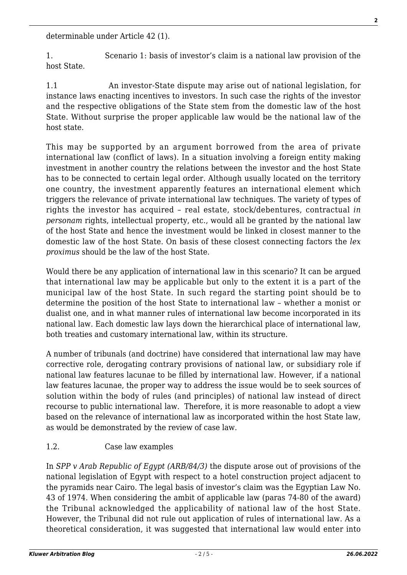determinable under Article 42 (1).

1. Scenario 1: basis of investor's claim is a national law provision of the host State.

1.1 An investor-State dispute may arise out of national legislation, for instance laws enacting incentives to investors. In such case the rights of the investor and the respective obligations of the State stem from the domestic law of the host State. Without surprise the proper applicable law would be the national law of the host state.

This may be supported by an argument borrowed from the area of private international law (conflict of laws). In a situation involving a foreign entity making investment in another country the relations between the investor and the host State has to be connected to certain legal order. Although usually located on the territory one country, the investment apparently features an international element which triggers the relevance of private international law techniques. The variety of types of rights the investor has acquired – real estate, stock/debentures, contractual *in personam* rights, intellectual property, etc., would all be granted by the national law of the host State and hence the investment would be linked in closest manner to the domestic law of the host State. On basis of these closest connecting factors the *lex proximus* should be the law of the host State.

Would there be any application of international law in this scenario? It can be argued that international law may be applicable but only to the extent it is a part of the municipal law of the host State. In such regard the starting point should be to determine the position of the host State to international law – whether a monist or dualist one, and in what manner rules of international law become incorporated in its national law. Each domestic law lays down the hierarchical place of international law, both treaties and customary international law, within its structure.

A number of tribunals (and doctrine) have considered that international law may have corrective role, derogating contrary provisions of national law, or subsidiary role if national law features lacunae to be filled by international law. However, if a national law features lacunae, the proper way to address the issue would be to seek sources of solution within the body of rules (and principles) of national law instead of direct recourse to public international law. Therefore, it is more reasonable to adopt a view based on the relevance of international law as incorporated within the host State law, as would be demonstrated by the review of case law.

### 1.2. Case law examples

In *SPP v Arab Republic of Egypt (ARB/84/3)* the dispute arose out of provisions of the national legislation of Egypt with respect to a hotel construction project adjacent to the pyramids near Cairo. The legal basis of investor's claim was the Egyptian Law No. 43 of 1974. When considering the ambit of applicable law (paras 74-80 of the award) the Tribunal acknowledged the applicability of national law of the host State. However, the Tribunal did not rule out application of rules of international law. As a theoretical consideration, it was suggested that international law would enter into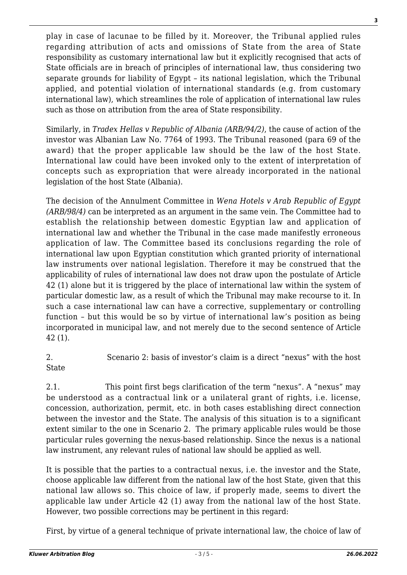play in case of lacunae to be filled by it. Moreover, the Tribunal applied rules regarding attribution of acts and omissions of State from the area of State responsibility as customary international law but it explicitly recognised that acts of State officials are in breach of principles of international law, thus considering two separate grounds for liability of Egypt – its national legislation, which the Tribunal applied, and potential violation of international standards (e.g. from customary international law), which streamlines the role of application of international law rules such as those on attribution from the area of State responsibility.

Similarly, in *Tradex Hellas v Republic of Albania (ARB/94/2)*, the cause of action of the investor was Albanian Law No. 7764 of 1993. The Tribunal reasoned (para 69 of the award) that the proper applicable law should be the law of the host State. International law could have been invoked only to the extent of interpretation of concepts such as expropriation that were already incorporated in the national legislation of the host State (Albania).

The decision of the Annulment Committee in *Wena Hotels v Arab Republic of Egypt (ARB/98/4)* can be interpreted as an argument in the same vein. The Committee had to establish the relationship between domestic Egyptian law and application of international law and whether the Tribunal in the case made manifestly erroneous application of law. The Committee based its conclusions regarding the role of international law upon Egyptian constitution which granted priority of international law instruments over national legislation. Therefore it may be construed that the applicability of rules of international law does not draw upon the postulate of Article 42 (1) alone but it is triggered by the place of international law within the system of particular domestic law, as a result of which the Tribunal may make recourse to it. In such a case international law can have a corrective, supplementary or controlling function – but this would be so by virtue of international law's position as being incorporated in municipal law, and not merely due to the second sentence of Article 42 (1).

2. Scenario 2: basis of investor's claim is a direct "nexus" with the host State

2.1. This point first begs clarification of the term "nexus". A "nexus" may be understood as a contractual link or a unilateral grant of rights, i.e. license, concession, authorization, permit, etc. in both cases establishing direct connection between the investor and the State. The analysis of this situation is to a significant extent similar to the one in Scenario 2. The primary applicable rules would be those particular rules governing the nexus-based relationship. Since the nexus is a national law instrument, any relevant rules of national law should be applied as well.

It is possible that the parties to a contractual nexus, i.e. the investor and the State, choose applicable law different from the national law of the host State, given that this national law allows so. This choice of law, if properly made, seems to divert the applicable law under Article 42 (1) away from the national law of the host State. However, two possible corrections may be pertinent in this regard:

First, by virtue of a general technique of private international law, the choice of law of

**3**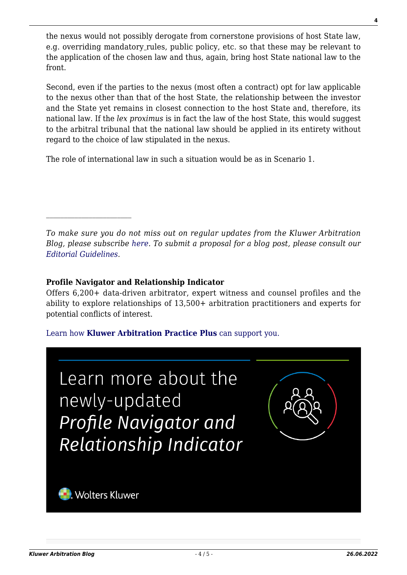the nexus would not possibly derogate from cornerstone provisions of host State law, e.g. overriding mandatory rules, public policy, etc. so that these may be relevant to the application of the chosen law and thus, again, bring host State national law to the front.

Second, even if the parties to the nexus (most often a contract) opt for law applicable to the nexus other than that of the host State, the relationship between the investor and the State yet remains in closest connection to the host State and, therefore, its national law. If the *lex proximus* is in fact the law of the host State, this would suggest to the arbitral tribunal that the national law should be applied in its entirety without regard to the choice of law stipulated in the nexus.

The role of international law in such a situation would be as in Scenario 1.

*To make sure you do not miss out on regular updates from the Kluwer Arbitration Blog, please subscribe [here](http://arbitrationblog.kluwerarbitration.com/newsletter/). To submit a proposal for a blog post, please consult our [Editorial Guidelines.](http://arbitrationblog.kluwerarbitration.com/editorial-guidelines/)*

#### **Profile Navigator and Relationship Indicator**

Offers 6,200+ data-driven arbitrator, expert witness and counsel profiles and the ability to explore relationships of 13,500+ arbitration practitioners and experts for potential conflicts of interest.

#### [Learn how](https://www.wolterskluwer.com/en/solutions/kluwerarbitration/practiceplus?utm_source=arbitrationblog&utm_medium=articleCTA&utm_campaign=article-banner) **[Kluwer Arbitration Practice Plus](https://www.wolterskluwer.com/en/solutions/kluwerarbitration/practiceplus?utm_source=arbitrationblog&utm_medium=articleCTA&utm_campaign=article-banner)** [can support you.](https://www.wolterskluwer.com/en/solutions/kluwerarbitration/practiceplus?utm_source=arbitrationblog&utm_medium=articleCTA&utm_campaign=article-banner)